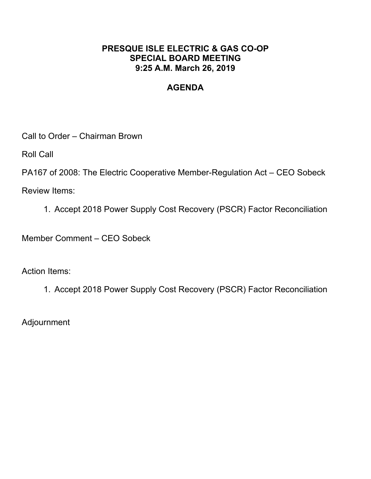## **PRESQUE ISLE ELECTRIC & GAS CO-OP SPECIAL BOARD MEETING 9:25 A.M. March 26, 2019**

# **AGENDA**

Call to Order – Chairman Brown

Roll Call

PA167 of 2008: The Electric Cooperative Member-Regulation Act – CEO Sobeck

Review Items:

1. Accept 2018 Power Supply Cost Recovery (PSCR) Factor Reconciliation

Member Comment – CEO Sobeck

Action Items:

1. Accept 2018 Power Supply Cost Recovery (PSCR) Factor Reconciliation

Adjournment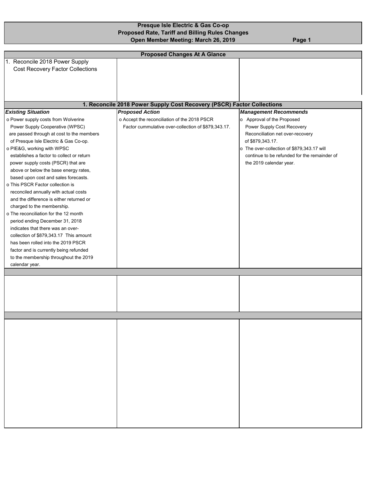### **Presque Isle Electric & Gas Co-op Proposed Rate, Tariff and Billing Rules Changes Open Member Meeting: March 26, 2019 Page 1**

| <b>Proposed Changes At A Glance</b>                                 |                                                                        |                                              |  |  |  |  |  |  |  |  |  |
|---------------------------------------------------------------------|------------------------------------------------------------------------|----------------------------------------------|--|--|--|--|--|--|--|--|--|
| 1. Reconcile 2018 Power Supply                                      |                                                                        |                                              |  |  |  |  |  |  |  |  |  |
| <b>Cost Recovery Factor Collections</b>                             |                                                                        |                                              |  |  |  |  |  |  |  |  |  |
|                                                                     |                                                                        |                                              |  |  |  |  |  |  |  |  |  |
|                                                                     |                                                                        |                                              |  |  |  |  |  |  |  |  |  |
|                                                                     |                                                                        |                                              |  |  |  |  |  |  |  |  |  |
|                                                                     |                                                                        |                                              |  |  |  |  |  |  |  |  |  |
|                                                                     | 1. Reconcile 2018 Power Supply Cost Recovery (PSCR) Factor Collections |                                              |  |  |  |  |  |  |  |  |  |
| <b>Existing Situation</b>                                           | <b>Proposed Action</b>                                                 | <b>Management Recommends</b>                 |  |  |  |  |  |  |  |  |  |
| o Power supply costs from Wolverine                                 | o Accept the reconciliation of the 2018 PSCR                           | o Approval of the Proposed                   |  |  |  |  |  |  |  |  |  |
| Power Supply Cooperative (WPSC)                                     | Factor cummulative over-collection of \$879,343.17.                    | Power Supply Cost Recovery                   |  |  |  |  |  |  |  |  |  |
| are passed through at cost to the members                           |                                                                        | Reconciliation net over-recovery             |  |  |  |  |  |  |  |  |  |
| of Presque Isle Electric & Gas Co-op.                               |                                                                        | of \$879,343.17.                             |  |  |  |  |  |  |  |  |  |
| o PIE&G, working with WPSC                                          |                                                                        | o The over-collection of \$879,343.17 will   |  |  |  |  |  |  |  |  |  |
| establishes a factor to collect or return                           |                                                                        | continue to be refunded for the remainder of |  |  |  |  |  |  |  |  |  |
| power supply costs (PSCR) that are                                  |                                                                        | the 2019 calendar year.                      |  |  |  |  |  |  |  |  |  |
| above or below the base energy rates,                               |                                                                        |                                              |  |  |  |  |  |  |  |  |  |
| based upon cost and sales forecasts.                                |                                                                        |                                              |  |  |  |  |  |  |  |  |  |
| o This PSCR Factor collection is                                    |                                                                        |                                              |  |  |  |  |  |  |  |  |  |
| reconciled annually with actual costs                               |                                                                        |                                              |  |  |  |  |  |  |  |  |  |
| and the difference is either returned or                            |                                                                        |                                              |  |  |  |  |  |  |  |  |  |
|                                                                     |                                                                        |                                              |  |  |  |  |  |  |  |  |  |
| charged to the membership.<br>o The reconciliation for the 12 month |                                                                        |                                              |  |  |  |  |  |  |  |  |  |
|                                                                     |                                                                        |                                              |  |  |  |  |  |  |  |  |  |
| period ending December 31, 2018                                     |                                                                        |                                              |  |  |  |  |  |  |  |  |  |
| indicates that there was an over-                                   |                                                                        |                                              |  |  |  |  |  |  |  |  |  |
| collection of \$879,343.17 This amount                              |                                                                        |                                              |  |  |  |  |  |  |  |  |  |
| has been rolled into the 2019 PSCR                                  |                                                                        |                                              |  |  |  |  |  |  |  |  |  |
| factor and is currently being refunded                              |                                                                        |                                              |  |  |  |  |  |  |  |  |  |
| to the membership throughout the 2019                               |                                                                        |                                              |  |  |  |  |  |  |  |  |  |
| calendar year.                                                      |                                                                        |                                              |  |  |  |  |  |  |  |  |  |
|                                                                     |                                                                        |                                              |  |  |  |  |  |  |  |  |  |
|                                                                     |                                                                        |                                              |  |  |  |  |  |  |  |  |  |
|                                                                     |                                                                        |                                              |  |  |  |  |  |  |  |  |  |
|                                                                     |                                                                        |                                              |  |  |  |  |  |  |  |  |  |
|                                                                     |                                                                        |                                              |  |  |  |  |  |  |  |  |  |
|                                                                     |                                                                        |                                              |  |  |  |  |  |  |  |  |  |
|                                                                     |                                                                        |                                              |  |  |  |  |  |  |  |  |  |
|                                                                     |                                                                        |                                              |  |  |  |  |  |  |  |  |  |
|                                                                     |                                                                        |                                              |  |  |  |  |  |  |  |  |  |
|                                                                     |                                                                        |                                              |  |  |  |  |  |  |  |  |  |
|                                                                     |                                                                        |                                              |  |  |  |  |  |  |  |  |  |
|                                                                     |                                                                        |                                              |  |  |  |  |  |  |  |  |  |
|                                                                     |                                                                        |                                              |  |  |  |  |  |  |  |  |  |
|                                                                     |                                                                        |                                              |  |  |  |  |  |  |  |  |  |
|                                                                     |                                                                        |                                              |  |  |  |  |  |  |  |  |  |
|                                                                     |                                                                        |                                              |  |  |  |  |  |  |  |  |  |
|                                                                     |                                                                        |                                              |  |  |  |  |  |  |  |  |  |
|                                                                     |                                                                        |                                              |  |  |  |  |  |  |  |  |  |
|                                                                     |                                                                        |                                              |  |  |  |  |  |  |  |  |  |
|                                                                     |                                                                        |                                              |  |  |  |  |  |  |  |  |  |
|                                                                     |                                                                        |                                              |  |  |  |  |  |  |  |  |  |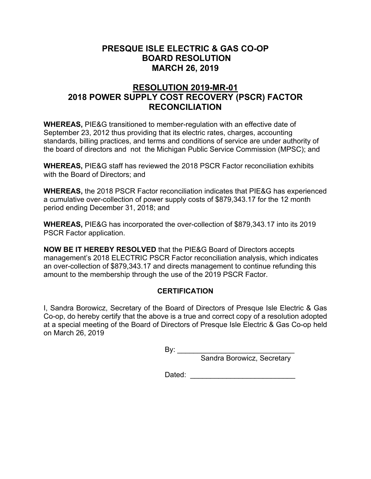### **PRESQUE ISLE ELECTRIC & GAS CO-OP BOARD RESOLUTION MARCH 26, 2019**

# **RESOLUTION 2019-MR-01 2018 POWER SUPPLY COST RECOVERY (PSCR) FACTOR RECONCILIATION**

**WHEREAS,** PIE&G transitioned to member-regulation with an effective date of September 23, 2012 thus providing that its electric rates, charges, accounting standards, billing practices, and terms and conditions of service are under authority of the board of directors and not the Michigan Public Service Commission (MPSC); and

**WHEREAS,** PIE&G staff has reviewed the 2018 PSCR Factor reconciliation exhibits with the Board of Directors; and

**WHEREAS,** the 2018 PSCR Factor reconciliation indicates that PIE&G has experienced a cumulative over-collection of power supply costs of [\\$879,343.17](https://879,343.17) for the 12 month period ending December 31, 2018; and

**WHEREAS,** PIE&G has incorporated the over-collection of [\\$879,343.17](https://879,343.17) into its 2019 PSCR Factor application.

**NOW BE IT HEREBY RESOLVED** that the PIE&G Board of Directors accepts management's 2018 ELECTRIC PSCR Factor reconciliation analysis, which indicates an over-collection of [\\$879,343.17](https://879,343.17) and directs management to continue refunding this amount to the membership through the use of the 2019 PSCR Factor.

### **CERTIFICATION**

I, Sandra Borowicz, Secretary of the Board of Directors of Presque Isle Electric & Gas Co-op, do hereby certify that the above is a true and correct copy of a resolution adopted at a special meeting of the Board of Directors of Presque Isle Electric & Gas Co-op held on March 26, 2019

By: \_\_\_\_\_\_\_\_\_\_\_\_\_\_\_\_\_\_\_\_\_\_\_\_\_\_\_\_\_

Sandra Borowicz, Secretary

Dated: \_\_\_\_\_\_\_\_\_\_\_\_\_\_\_\_\_\_\_\_\_\_\_\_\_\_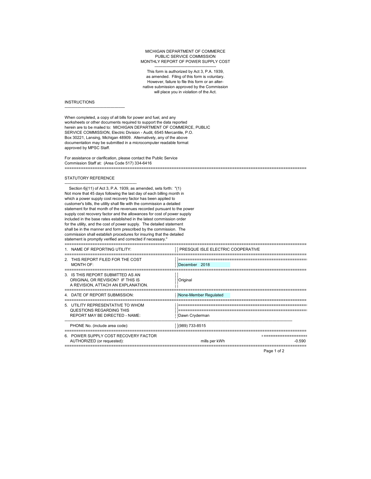#### MONTHLY REPORT OF POWER SUPPLY COST ----------------------------------------------- MICHIGAN DEPARTMENT OF COMMERCE PUBLIC SERVICE COMMISSION

 will place you in violation of the Act. This form is authorized by Act 3, P.A. 1939, as amended. Filing of this form is voluntary. However, failure to file this form or an alternative submission approved by the Commission

#### INSTRUCTIONS

----------------------------------------------

 When completed, a copy of all bills for power and fuel, and any worksheets or other documents required to support the data reported SERVICE COMMISSION, Electric Division - Audit, 6545 Mercantile, P.O. Box 30221, Lansing, Michigan 48909. Alternatively, any of the above herein are to be mailed to: MICHIGAN DEPARTMENT OF COMMERCE, PUBLIC documentation may be submitted in a microcomputer readable format approved by MPSC Staff.

 For assistance or clarification, please contact the Public Service Commission Staff at: (Area Code 517) 334-6416 ========================================================================================================

### STATUTORY REFERENCE

-------------------------------------------------------

 Not more that 45 days following the last day of each billing month in which a power supply cost recovery factor has been applied to customer's bills, the utility shall file with the commission a detailed supply cost recovery factor and the allowances for cost of power supply included in the base rates established in the latest commission order statement is promptly verified and corrected if necessary." Section 6j(11) of Act 3, P.A. 1939, as amended, sets forth: "(1) statement for that month of the revenues recorded pursuant to the power for the utility, and the cost of power supply. The detailed statement shall be in the manner and form prescribed by the commission. The commission shall establish procedures for insuring that the detailed

| NAME OF REPORTING UTILITY:                                                                                  | PRESQUE ISLE ELECTRIC COOPERATIVE |          |
|-------------------------------------------------------------------------------------------------------------|-----------------------------------|----------|
| 2. THIS REPORT FILED FOR THE COST<br><b>MONTH OF:</b>                                                       | December 2018                     |          |
| 3. IS THIS REPORT SUBMITTED AS AN<br>ORIGINAL OR REVISION? IF THIS IS<br>A REVISION, ATTACH AN EXPLANATION. | Original                          |          |
| 4. DATE OF REPORT SUBMISSION:                                                                               | None-Member Regulated             |          |
| 5. UTILITY REPRESENTATIVE TO WHOM<br>QUESTIONS REGARDING THIS<br><b>REPORT MAY BE DIRECTED - NAME:</b>      | Dawn Cryderman                    |          |
| PHONE No. (include area code):                                                                              | (989) 733-8515                    |          |
| 6. POWER SUPPLY COST RECOVERY FACTOR<br>AUTHORIZED (or requested):                                          | mills per kWh                     | $-0.590$ |

Page 1 of 2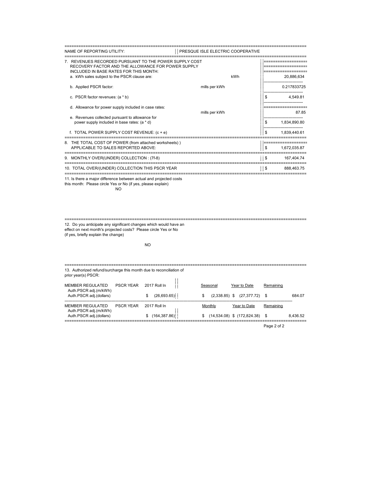| NAME OF REPORTING UTILITY:                                                                                                                                                                             | PRESQUE ISLE ELECTRIC COOPERATIVE |                |              |  |  |  |  |  |  |
|--------------------------------------------------------------------------------------------------------------------------------------------------------------------------------------------------------|-----------------------------------|----------------|--------------|--|--|--|--|--|--|
| 7. REVENUES RECORDED PURSUANT TO THE POWER SUPPLY COST<br>RECOVERY FACTOR AND THE ALLOWANCE FOR POWER SUPPLY<br>INCLUDED IN BASE RATES FOR THIS MONTH:<br>a. kWh sales subject to the PSCR clause are: | kWh                               |                | 20,886,634   |  |  |  |  |  |  |
| b. Applied PSCR factor:                                                                                                                                                                                | mills per kWh                     |                | 0.217833725  |  |  |  |  |  |  |
| c. PSCR factor revenues: (a * b)                                                                                                                                                                       |                                   | \$             | 4.549.81     |  |  |  |  |  |  |
| d. Allowance for power supply included in case rates:                                                                                                                                                  | mills per kWh                     |                | 8785         |  |  |  |  |  |  |
| e. Revenues collected pursuant to allowance for<br>power supply included in base rates: (a * d)                                                                                                        |                                   | \$             | 1,834,890.80 |  |  |  |  |  |  |
| f. TOTAL POWER SUPPLY COST REVENUE: $(c + e)$                                                                                                                                                          |                                   | \$             | 1.839.440.61 |  |  |  |  |  |  |
| 8. THE TOTAL COST OF POWER (from attached worksheets))                                                                                                                                                 |                                   |                |              |  |  |  |  |  |  |
| APPLICABLE TO SALES REPORTED ABOVE:                                                                                                                                                                    |                                   | \$             | 1,672,035.87 |  |  |  |  |  |  |
| 9. MONTHLY OVER(UNDER) COLLECTION : (7f-8)                                                                                                                                                             |                                   | $\cdot$ \$     | 167,404.74   |  |  |  |  |  |  |
| 10. TOTAL OVER/(UNDER) COLLECTION THIS PSCR YEAR                                                                                                                                                       |                                   | $\blacksquare$ | 888.463.75   |  |  |  |  |  |  |

11. Is there a major difference between actual and projected costs

this month: Please circle Yes or No (if yes, please explain)

NO

======================================================================================================== 12. Do you anticipate any significant changes which would have an

 effect on next month's projected costs? Please circle Yes or No (if yes, briefly explain the change)

### NO

======================================================================================================== 13. Authorized refund/surcharge this month due to reconciliation of prior year(s) PSCR:

| PSCR YEAR 2017 Roll In<br>MEMBER REGULATED<br>Auth.PSCR adj.(m/kWh)<br>Auth.PSCR adj.(dollars) | Ħ<br>(26,693.65) | Seasonal | Year to Date<br>$(2,338.85)$ \$ $(27,377.72)$ \$ | Remaining | 684.07   |
|------------------------------------------------------------------------------------------------|------------------|----------|--------------------------------------------------|-----------|----------|
| MEMBER REGULATED<br><b>PSCR YFAR</b><br>Auth.PSCR adj.(m/kWh)                                  | 2017 Roll In     | Monthly  | Year to Date                                     | Remaining |          |
| Auth.PSCR adj.(dollars)                                                                        | \$(164, 387.86)  | S.       | $(14,534.08)$ \$ $(172,824.38)$                  |           | 8.436.52 |
|                                                                                                |                  |          |                                                  |           |          |

Page 2 of 2